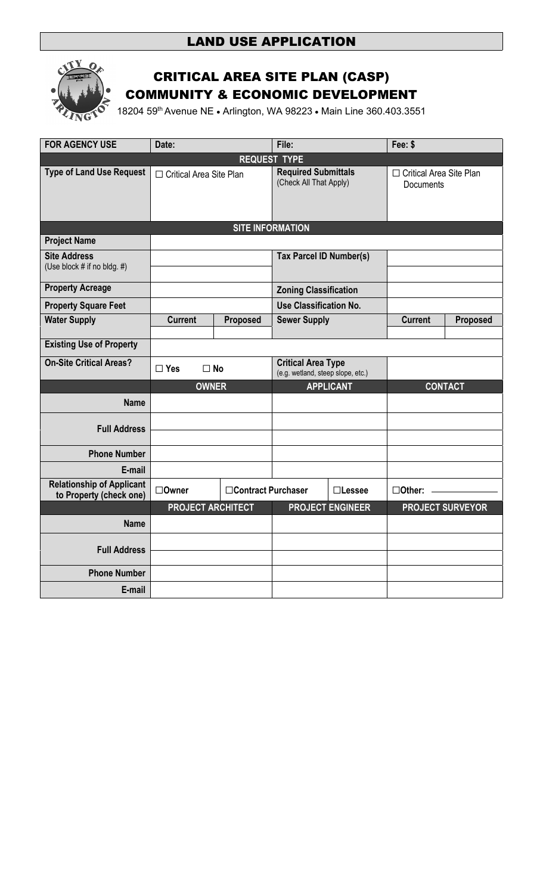## LAND USE APPLICATION



# CRITICAL AREA SITE PLAN (CASP) COMMUNITY & ECONOMIC DEVELOPMENT

18204 59th Avenue NE • Arlington, WA 98223 • Main Line 360.403.3551

| <b>FOR AGENCY USE</b>                                       | Date:                         |                      | File:                                                          |                         | Fee: \$                                |                         |  |  |  |  |  |
|-------------------------------------------------------------|-------------------------------|----------------------|----------------------------------------------------------------|-------------------------|----------------------------------------|-------------------------|--|--|--|--|--|
| <b>REQUEST TYPE</b>                                         |                               |                      |                                                                |                         |                                        |                         |  |  |  |  |  |
| <b>Type of Land Use Request</b>                             | □ Critical Area Site Plan     |                      | <b>Required Submittals</b><br>(Check All That Apply)           |                         | □ Critical Area Site Plan<br>Documents |                         |  |  |  |  |  |
| <b>SITE INFORMATION</b>                                     |                               |                      |                                                                |                         |                                        |                         |  |  |  |  |  |
| <b>Project Name</b>                                         |                               |                      |                                                                |                         |                                        |                         |  |  |  |  |  |
| <b>Site Address</b><br>(Use block $#$ if no bldg. $#$ )     |                               |                      | <b>Tax Parcel ID Number(s)</b>                                 |                         |                                        |                         |  |  |  |  |  |
| <b>Property Acreage</b>                                     |                               |                      | <b>Zoning Classification</b>                                   |                         |                                        |                         |  |  |  |  |  |
| <b>Property Square Feet</b>                                 |                               |                      | <b>Use Classification No.</b>                                  |                         |                                        |                         |  |  |  |  |  |
| <b>Water Supply</b>                                         | <b>Current</b>                | Proposed             | <b>Sewer Supply</b>                                            |                         | <b>Current</b>                         | Proposed                |  |  |  |  |  |
| <b>Existing Use of Property</b>                             |                               |                      |                                                                |                         |                                        |                         |  |  |  |  |  |
| <b>On-Site Critical Areas?</b>                              | $\square$ Yes<br>$\square$ No |                      | <b>Critical Area Type</b><br>(e.g. wetland, steep slope, etc.) |                         |                                        |                         |  |  |  |  |  |
|                                                             | <b>OWNER</b>                  |                      | <b>APPLICANT</b>                                               |                         | <b>CONTACT</b>                         |                         |  |  |  |  |  |
| <b>Name</b>                                                 |                               |                      |                                                                |                         |                                        |                         |  |  |  |  |  |
| <b>Full Address</b>                                         |                               |                      |                                                                |                         |                                        |                         |  |  |  |  |  |
| <b>Phone Number</b>                                         |                               |                      |                                                                |                         |                                        |                         |  |  |  |  |  |
| E-mail                                                      |                               |                      |                                                                |                         |                                        |                         |  |  |  |  |  |
| <b>Relationship of Applicant</b><br>to Property (check one) | □Owner                        | □ Contract Purchaser |                                                                | $\square$ Lessee        |                                        | $\Box$ Other:           |  |  |  |  |  |
|                                                             | <b>PROJECT ARCHITECT</b>      |                      |                                                                | <b>PROJECT ENGINEER</b> |                                        | <b>PROJECT SURVEYOR</b> |  |  |  |  |  |
| <b>Name</b>                                                 |                               |                      |                                                                |                         |                                        |                         |  |  |  |  |  |
| <b>Full Address</b>                                         |                               |                      |                                                                |                         |                                        |                         |  |  |  |  |  |
| <b>Phone Number</b>                                         |                               |                      |                                                                |                         |                                        |                         |  |  |  |  |  |
| E-mail                                                      |                               |                      |                                                                |                         |                                        |                         |  |  |  |  |  |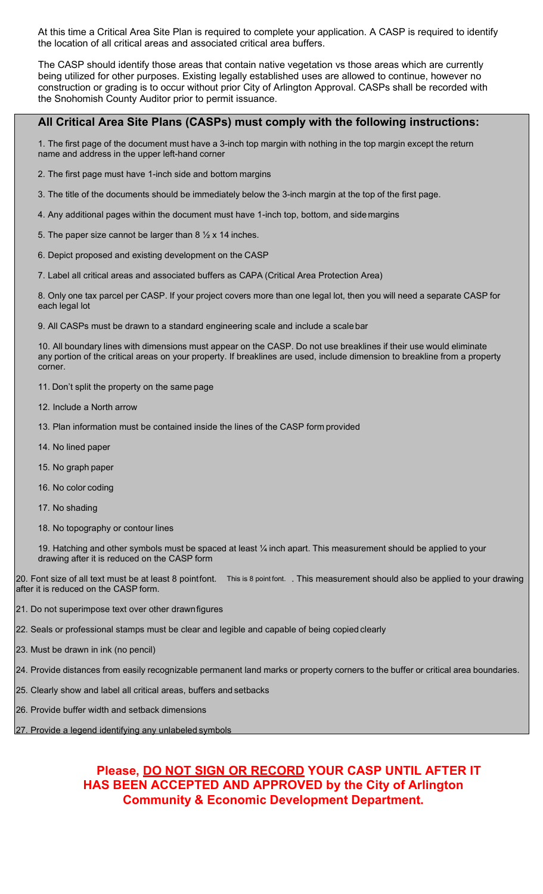At this time a Critical Area Site Plan is required to complete your application. A CASP is required to identify the location of all critical areas and associated critical area buffers.

The CASP should identify those areas that contain native vegetation vs those areas which are currently being utilized for other purposes. Existing legally established uses are allowed to continue, however no construction or grading is to occur without prior City of Arlington Approval. CASPs shall be recorded with the Snohomish County Auditor prior to permit issuance.

#### **All Critical Area Site Plans (CASPs) must comply with the following instructions:**

1. The first page of the document must have a 3-inch top margin with nothing in the top margin except the return name and address in the upper left-hand corner

- 2. The first page must have 1-inch side and bottom margins
- 3. The title of the documents should be immediately below the 3-inch margin at the top of the first page.
- 4. Any additional pages within the document must have 1-inch top, bottom, and sidemargins
- 5. The paper size cannot be larger than 8  $\frac{1}{2}$  x 14 inches.
- 6. Depict proposed and existing development on the CASP
- 7. Label all critical areas and associated buffers as CAPA (Critical Area Protection Area)

8. Only one tax parcel per CASP. If your project covers more than one legal lot, then you will need a separate CASP for each legal lot

9. All CASPs must be drawn to a standard engineering scale and include a scalebar

10. All boundary lines with dimensions must appear on the CASP. Do not use breaklines if their use would eliminate any portion of the critical areas on your property. If breaklines are used, include dimension to breakline from a property corner.

- 11. Don't split the property on the same page
- 12. Include a North arrow
- 13. Plan information must be contained inside the lines of the CASP form provided
- 14. No lined paper
- 15. No graph paper
- 16. No color coding
- 17. No shading
- 18. No topography or contour lines

19. Hatching and other symbols must be spaced at least ¼ inch apart. This measurement should be applied to your drawing after it is reduced on the CASP form

20. Font size of all text must be at least 8 pointfont. This is 8 pointfont. . This measurement should also be applied to your drawing after it is reduced on the CASP form.

- 21. Do not superimpose text over other drawnfigures
- 22. Seals or professional stamps must be clear and legible and capable of being copied clearly
- 23. Must be drawn in ink (no pencil)

24. Provide distances from easily recognizable permanent land marks or property corners to the buffer or critical area boundaries.

25. Clearly show and label all critical areas, buffers and setbacks

- 26. Provide buffer width and setback dimensions
- 27. Provide a legend identifying any unlabeled symbols

### **Please, DO NOT SIGN OR RECORD YOUR CASP UNTIL AFTER IT HAS BEEN ACCEPTED AND APPROVED by the City of Arlington Community & Economic Development Department.**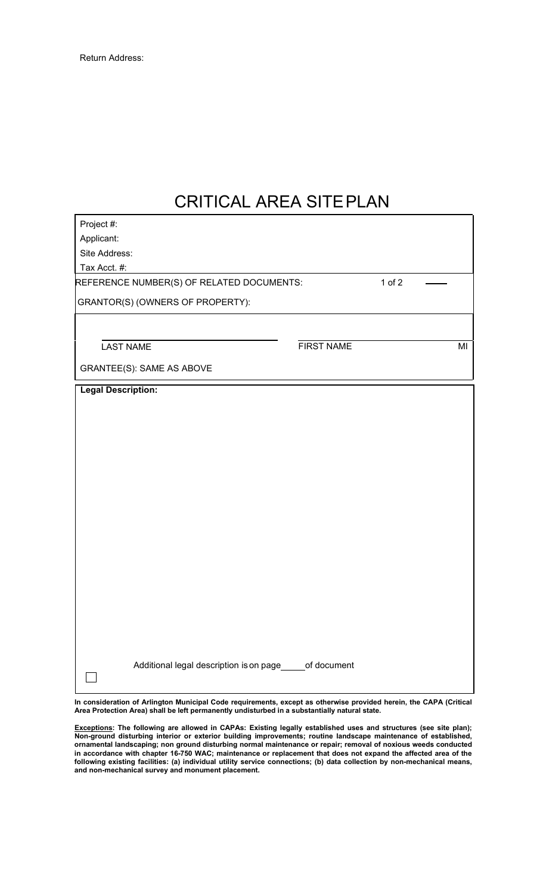r

# CRITICAL AREA SITEPLAN

| Project #:                |                                                           |                   |  |  |    |
|---------------------------|-----------------------------------------------------------|-------------------|--|--|----|
| Applicant:                |                                                           |                   |  |  |    |
| Site Address:             |                                                           |                   |  |  |    |
| Tax Acct. #:              |                                                           |                   |  |  |    |
|                           | REFERENCE NUMBER(S) OF RELATED DOCUMENTS:                 | $1$ of $2$        |  |  |    |
|                           | GRANTOR(S) (OWNERS OF PROPERTY):                          |                   |  |  |    |
|                           |                                                           |                   |  |  |    |
|                           | <b>LAST NAME</b>                                          | <b>FIRST NAME</b> |  |  | MI |
|                           | <b>GRANTEE(S): SAME AS ABOVE</b>                          |                   |  |  |    |
| <b>Legal Description:</b> |                                                           |                   |  |  |    |
|                           |                                                           |                   |  |  |    |
|                           |                                                           |                   |  |  |    |
|                           |                                                           |                   |  |  |    |
|                           |                                                           |                   |  |  |    |
|                           |                                                           |                   |  |  |    |
|                           |                                                           |                   |  |  |    |
|                           |                                                           |                   |  |  |    |
|                           |                                                           |                   |  |  |    |
|                           |                                                           |                   |  |  |    |
|                           |                                                           |                   |  |  |    |
|                           |                                                           |                   |  |  |    |
|                           |                                                           |                   |  |  |    |
|                           |                                                           |                   |  |  |    |
|                           |                                                           |                   |  |  |    |
|                           |                                                           |                   |  |  |    |
|                           |                                                           |                   |  |  |    |
|                           |                                                           |                   |  |  |    |
|                           |                                                           |                   |  |  |    |
|                           | Additional legal description is on page_edicided document |                   |  |  |    |
|                           |                                                           |                   |  |  |    |

**In consideration of Arlington Municipal Code requirements, except as otherwise provided herein, the CAPA (Critical Area Protection Area) shall be left permanently undisturbed in a substantially natural state.**

**Exceptions: The following are allowed in CAPAs: Existing legally established uses and structures (see site plan); Non-ground disturbing interior or exterior building improvements; routine landscape maintenance of established, ornamental landscaping; non ground disturbing normal maintenance or repair; removal of noxious weeds conducted in accordance with chapter 16-750 WAC; maintenance or replacement that does not expand the affected area of the following existing facilities: (a) individual utility service connections; (b) data collection by non-mechanical means, and non-mechanical survey and monument placement.**